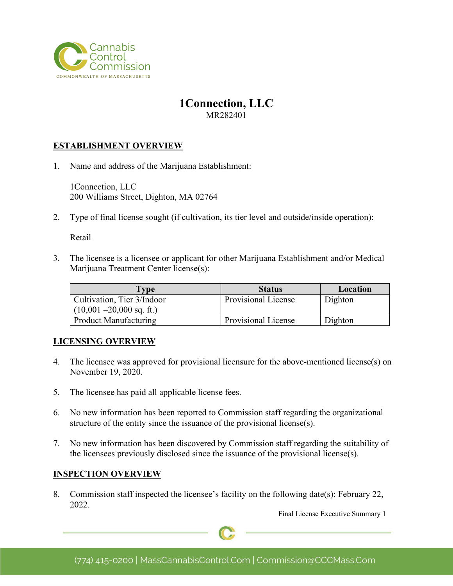

# **1Connection, LLC**

MR282401

### **ESTABLISHMENT OVERVIEW**

1. Name and address of the Marijuana Establishment:

1Connection, LLC 200 Williams Street, Dighton, MA 02764

2. Type of final license sought (if cultivation, its tier level and outside/inside operation):

Retail

3. The licensee is a licensee or applicant for other Marijuana Establishment and/or Medical Marijuana Treatment Center license(s):

| <b>Type</b>                 | <b>Status</b>       | Location |
|-----------------------------|---------------------|----------|
| Cultivation, Tier 3/Indoor  | Provisional License | Dighton  |
| $(10,001 - 20,000$ sq. ft.) |                     |          |
| Product Manufacturing       | Provisional License | Dighton  |

#### **LICENSING OVERVIEW**

- 4. The licensee was approved for provisional licensure for the above-mentioned license(s) on November 19, 2020.
- 5. The licensee has paid all applicable license fees.
- 6. No new information has been reported to Commission staff regarding the organizational structure of the entity since the issuance of the provisional license(s).
- 7. No new information has been discovered by Commission staff regarding the suitability of the licensees previously disclosed since the issuance of the provisional license(s).

#### **INSPECTION OVERVIEW**

8. Commission staff inspected the licensee's facility on the following date(s): February 22, 2022.

Final License Executive Summary 1

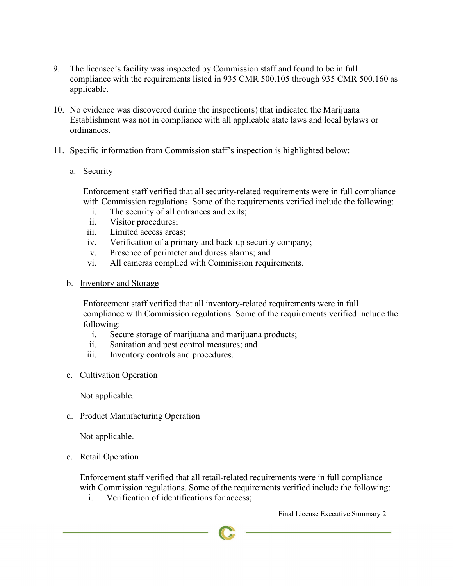- 9. The licensee's facility was inspected by Commission staff and found to be in full compliance with the requirements listed in 935 CMR 500.105 through 935 CMR 500.160 as applicable.
- 10. No evidence was discovered during the inspection(s) that indicated the Marijuana Establishment was not in compliance with all applicable state laws and local bylaws or ordinances.
- 11. Specific information from Commission staff's inspection is highlighted below:
	- a. Security

Enforcement staff verified that all security-related requirements were in full compliance with Commission regulations. Some of the requirements verified include the following:

- i. The security of all entrances and exits;
- ii. Visitor procedures;
- iii. Limited access areas;
- iv. Verification of a primary and back-up security company;
- v. Presence of perimeter and duress alarms; and
- vi. All cameras complied with Commission requirements.
- b. Inventory and Storage

Enforcement staff verified that all inventory-related requirements were in full compliance with Commission regulations. Some of the requirements verified include the following:

- i. Secure storage of marijuana and marijuana products;
- ii. Sanitation and pest control measures; and
- iii. Inventory controls and procedures.
- c. Cultivation Operation

Not applicable.

d. Product Manufacturing Operation

Not applicable.

e. Retail Operation

Enforcement staff verified that all retail-related requirements were in full compliance with Commission regulations. Some of the requirements verified include the following:

i. Verification of identifications for access;

Final License Executive Summary 2